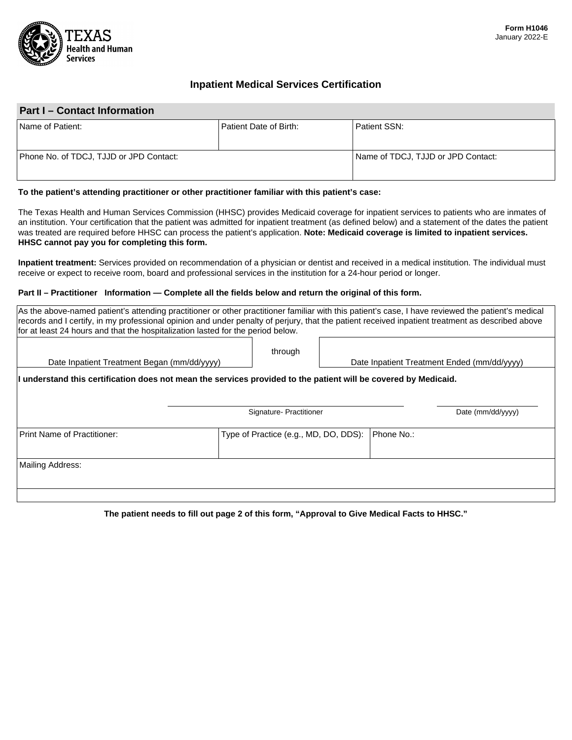

# **Inpatient Medical Services Certification**

# **Part I – Contact Information**

| Name of Patient:                        | l Patient Date of Birth: | Patient SSN:                       |
|-----------------------------------------|--------------------------|------------------------------------|
| Phone No. of TDCJ, TJJD or JPD Contact: |                          | Name of TDCJ, TJJD or JPD Contact: |

#### **To the patient's attending practitioner or other practitioner familiar with this patient's case:**

The Texas Health and Human Services Commission (HHSC) provides Medicaid coverage for inpatient services to patients who are inmates of an institution. Your certification that the patient was admitted for inpatient treatment (as defined below) and a statement of the dates the patient was treated are required before HHSC can process the patient's application. **Note: Medicaid coverage is limited to inpatient services. HHSC cannot pay you for completing this form.** 

**Inpatient treatment:** Services provided on recommendation of a physician or dentist and received in a medical institution. The individual must receive or expect to receive room, board and professional services in the institution for a 24-hour period or longer.

### **Part II – Practitioner Information — Complete all the fields below and return the original of this form.**

| As the above-named patient's attending practitioner or other practitioner familiar with this patient's case, I have reviewed the patient's medical<br>records and I certify, in my professional opinion and under penalty of perjury, that the patient received inpatient treatment as described above<br>for at least 24 hours and that the hospitalization lasted for the period below. |                                       |  |            |                                             |
|-------------------------------------------------------------------------------------------------------------------------------------------------------------------------------------------------------------------------------------------------------------------------------------------------------------------------------------------------------------------------------------------|---------------------------------------|--|------------|---------------------------------------------|
| Date Inpatient Treatment Began (mm/dd/yyyy)                                                                                                                                                                                                                                                                                                                                               | through                               |  |            | Date Inpatient Treatment Ended (mm/dd/yyyy) |
| I understand this certification does not mean the services provided to the patient will be covered by Medicaid.                                                                                                                                                                                                                                                                           |                                       |  |            |                                             |
|                                                                                                                                                                                                                                                                                                                                                                                           | Signature- Practitioner               |  |            | Date (mm/dd/yyyy)                           |
| <b>Print Name of Practitioner:</b>                                                                                                                                                                                                                                                                                                                                                        | Type of Practice (e.g., MD, DO, DDS): |  | Phone No.: |                                             |
| Mailing Address:                                                                                                                                                                                                                                                                                                                                                                          |                                       |  |            |                                             |
|                                                                                                                                                                                                                                                                                                                                                                                           |                                       |  |            |                                             |

**The patient needs to fill out page 2 of this form, "Approval to Give Medical Facts to HHSC."**